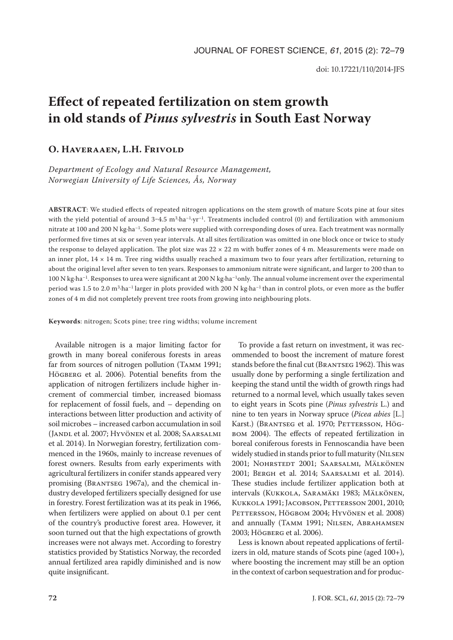# **Effect of repeated fertilization on stem growth in old stands of** *Pinus sylvestris* **in South East Norway**

## **O. Haveraaen, L.H. Frivold**

*Department of Ecology and Natural Resource Management, Norwegian University of Life Sciences, Ås, Norway*

**ABSTRACT**: We studied effects of repeated nitrogen applications on the stem growth of mature Scots pine at four sites with the yield potential of around  $3-4.5$  m<sup>3</sup>·ha<sup>-1</sup>·yr<sup>-1</sup>. Treatments included control (0) and fertilization with ammonium nitrate at 100 and 200 N kg∙ha–1. Some plots were supplied with corresponding doses of urea. Each treatment was normally performed five times at six or seven year intervals. At all sites fertilization was omitted in one block once or twice to study the response to delayed application. The plot size was  $22 \times 22$  m with buffer zones of 4 m. Measurements were made on an inner plot,  $14 \times 14$  m. Tree ring widths usually reached a maximum two to four years after fertilization, returning to about the original level after seven to ten years. Responses to ammonium nitrate were significant, and larger to 200 than to 100 N kg∙ha–1. Responses to urea were significant at 200 N kg∙ha–1only. The annual volume increment over the experimental period was 1.5 to 2.0 m3·ha–1 larger in plots provided with 200 N kg∙ha–1 than in control plots, or even more as the buffer zones of 4 m did not completely prevent tree roots from growing into neighbouring plots.

**Keywords**: nitrogen; Scots pine; tree ring widths; volume increment

Available nitrogen is a major limiting factor for growth in many boreal coniferous forests in areas far from sources of nitrogen pollution (Tamm 1991; HÖGBERG et al. 2006). Potential benefits from the application of nitrogen fertilizers include higher increment of commercial timber, increased biomass for replacement of fossil fuels, and – depending on interactions between litter production and activity of soil microbes – increased carbon accumulation in soil (Jandl et al. 2007; Hyvönen et al. 2008; Saarsalmi et al. 2014). In Norwegian forestry, fertilization commenced in the 1960s, mainly to increase revenues of forest owners. Results from early experiments with agricultural fertilizers in conifer stands appeared very promising (Brantseg 1967a), and the chemical industry developed fertilizers specially designed for use in forestry. Forest fertilization was at its peak in 1966, when fertilizers were applied on about 0.1 per cent of the country's productive forest area. However, it soon turned out that the high expectations of growth increases were not always met. According to forestry statistics provided by Statistics Norway, the recorded annual fertilized area rapidly diminished and is now quite insignificant.

To provide a fast return on investment, it was recommended to boost the increment of mature forest stands before the final cut (Brantseg 1962). This was usually done by performing a single fertilization and keeping the stand until the width of growth rings had returned to a normal level, which usually takes seven to eight years in Scots pine (*Pinus sylvestris* L.) and nine to ten years in Norway spruce (*Picea abies* [L.] Karst.) (BRANTSEG et al. 1970; PETTERSSON, HÖGbom 2004). The effects of repeated fertilization in boreal coniferous forests in Fennoscandia have been widely studied in stands prior to full maturity (NILSEN 2001; Nohrstedt 2001; Saarsalmi, Mälkönen 2001; Bergh et al. 2014; Saarsalmi et al. 2014). These studies include fertilizer application both at intervals (Kukkola, Saramäki 1983; Mälkönen, KUKKOLA 1991; JACOBSON, PETTERSSON 2001, 2010; PETTERSSON, HÖGBOM 2004; HYVÖNEN et al. 2008) and annually (TAMM 1991; NILSEN, ABRAHAMSEN 2003; Högberg et al. 2006).

Less is known about repeated applications of fertilizers in old, mature stands of Scots pine (aged 100+), where boosting the increment may still be an option in the context of carbon sequestration and for produc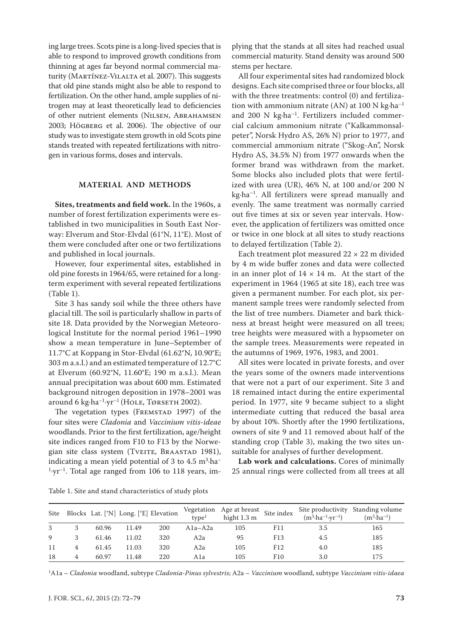ing large trees. Scots pine is a long-lived species that is able to respond to improved growth conditions from thinning at ages far beyond normal commercial maturity (MARTÍNEZ-VILALTA et al. 2007). This suggests that old pine stands might also be able to respond to fertilization. On the other hand, ample supplies of nitrogen may at least theoretically lead to deficiencies of other nutrient elements (Nilsen, Abrahamsen 2003; Högberg et al. 2006). The objective of our study was to investigate stem growth in old Scots pine stands treated with repeated fertilizations with nitrogen in various forms, doses and intervals.

#### **MATERIAL AND METHODS**

**Sites, treatments and field work.** In the 1960s, a number of forest fertilization experiments were established in two municipalities in South East Norway: Elverum and Stor-Elvdal (61°N, 11°E). Most of them were concluded after one or two fertilizations and published in local journals.

However, four experimental sites, established in old pine forests in 1964/65, were retained for a longterm experiment with several repeated fertilizations (Table 1).

Site 3 has sandy soil while the three others have glacial till. The soil is particularly shallow in parts of site 18. Data provided by the Norwegian Meteorological Institute for the normal period 1961–1990 show a mean temperature in June–September of 11.7°C at Koppang in Stor-Elvdal (61.62°N, 10.90°E; 303 m a.s.l.) and an estimated temperature of 12.7°C at Elverum (60.92°N, 11.60°E; 190 m a.s.l.). Mean annual precipitation was about 600 mm. Estimated background nitrogen deposition in 1978–2001 was around 6 kg·ha<sup>-1</sup>·yr<sup>-1</sup> (HOLE, TØRSETH 2002).

The vegetation types (FREMSTAD 1997) of the four sites were *Cladonia* and *Vaccinium vitis-ideae* woodlands. Prior to the first fertilization, age/height site indices ranged from F10 to F13 by the Norwegian site class system (TVEITE, BRAASTAD 1981), indicating a mean yield potential of 3 to  $4.5\; \mathrm{m}^3 \cdot \mathrm{ha}^ 1 \cdot yr^{-1}$ . Total age ranged from 106 to 118 years, implying that the stands at all sites had reached usual commercial maturity. Stand density was around 500 stems per hectare.

All four experimental sites had randomized block designs. Each site comprised three or four blocks, all with the three treatments: control (0) and fertilization with ammonium nitrate (AN) at  $100$  N kg $\cdot$ ha<sup>-1</sup> and 200 N kg·ha<sup>-1</sup>. Fertilizers included commercial calcium ammonium nitrate ("Kalkammonsalpeter", Norsk Hydro AS, 26% N) prior to 1977, and commercial ammonium nitrate ("Skog-An", Norsk Hydro AS, 34.5% N) from 1977 onwards when the former brand was withdrawn from the market. Some blocks also included plots that were fertilized with urea (UR), 46% N, at 100 and/or 200 N kg·ha–1. All fertilizers were spread manually and evenly. The same treatment was normally carried out five times at six or seven year intervals. However, the application of fertilizers was omitted once or twice in one block at all sites to study reactions to delayed fertilization (Table 2).

Each treatment plot measured  $22 \times 22$  m divided by 4 m wide buffer zones and data were collected in an inner plot of  $14 \times 14$  m. At the start of the experiment in 1964 (1965 at site 18), each tree was given a permanent number. For each plot, six permanent sample trees were randomly selected from the list of tree numbers. Diameter and bark thickness at breast height were measured on all trees; tree heights were measured with a hypsometer on the sample trees. Measurements were repeated in the autumns of 1969, 1976, 1983, and 2001.

All sites were located in private forests, and over the years some of the owners made interventions that were not a part of our experiment. Site 3 and 18 remained intact during the entire experimental period. In 1977, site 9 became subject to a slight intermediate cutting that reduced the basal area by about 10%. Shortly after the 1990 fertilizations, owners of site 9 and 11 removed about half of the standing crop (Table 3), making the two sites unsuitable for analyses of further development.

**Lab work and calculations.** Cores of minimally 25 annual rings were collected from all trees at all

| Table 1. Site and stand characteristics of study plots |
|--------------------------------------------------------|
|--------------------------------------------------------|

| Site |   |       |       | Blocks Lat. [°N] Long. [°E] Elevation | true <sup>1</sup> | Vegetation Age at breast Site index $\sim$<br>hight 1.3 m |     | $(m^3 \cdot ha^{-1} \cdot yr^{-1})$ | Site productivity Standing volume<br>$(m^3 \cdot ha^{-1})$ |
|------|---|-------|-------|---------------------------------------|-------------------|-----------------------------------------------------------|-----|-------------------------------------|------------------------------------------------------------|
| 3    |   | 60.96 | 11.49 | 200                                   | $A1a - A2a$       | 105                                                       | F11 | 3.5                                 | 165                                                        |
| 9    |   | 61.46 | 11.02 | 320                                   | A2a               | 95                                                        | F13 | 4.5                                 | 185                                                        |
| 11   |   | 61.45 | 11.03 | 320                                   | A2a               | 105                                                       | F12 | 4.0                                 | 185                                                        |
| 18   | 4 | 60.97 | 11.48 | 220                                   | A1a               | 105                                                       | F10 | 3.0                                 | 175                                                        |

1A1a – *Cladonia* woodland, subtype *Cladonia-Pinus sylvestris*; A2a – *Vaccinium* woodland, subtype *Vaccinium vitis-idaea*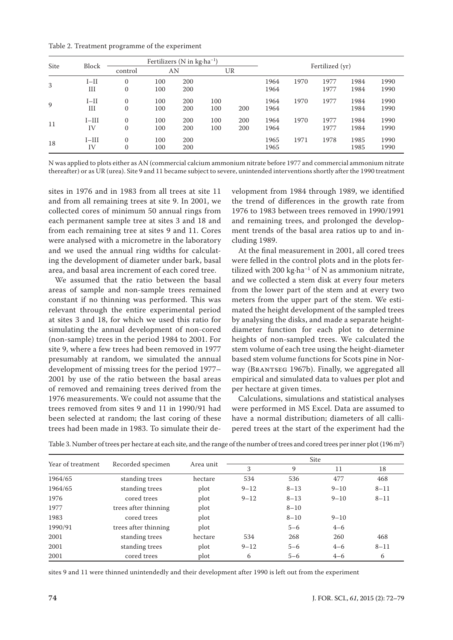Table 2. Treatment programme of the experiment

| Site | Block         | Fertilizers (N in $kg \cdot ha^{-1}$ ) |            |            |            | Fertilized (yr) |              |      |              |              |              |
|------|---------------|----------------------------------------|------------|------------|------------|-----------------|--------------|------|--------------|--------------|--------------|
|      |               | control                                | AN         |            |            | UR              |              |      |              |              |              |
| 3    | $I-II$<br>Ш   | 0<br>0                                 | 100<br>100 | 200<br>200 |            |                 | 1964<br>1964 | 1970 | 1977<br>1977 | 1984<br>1984 | 1990<br>1990 |
| 9    | $I-II$<br>Ш   | 0<br>0                                 | 100<br>100 | 200<br>200 | 100<br>100 | 200             | 1964<br>1964 | 1970 | 1977         | 1984<br>1984 | 1990<br>1990 |
| 11   | $I-III$<br>IV | $\Omega$<br>0                          | 100<br>100 | 200<br>200 | 100<br>100 | 200<br>200      | 1964<br>1964 | 1970 | 1977<br>1977 | 1984<br>1984 | 1990<br>1990 |
| 18   | $I-III$<br>IV | $\Omega$<br>$\Omega$                   | 100<br>100 | 200<br>200 |            |                 | 1965<br>1965 | 1971 | 1978         | 1985<br>1985 | 1990<br>1990 |

N was applied to plots either as AN (commercial calcium ammonium nitrate before 1977 and commercial ammonium nitrate thereafter) or as UR (urea). Site 9 and 11 became subject to severe, unintended interventions shortly after the 1990 treatment

sites in 1976 and in 1983 from all trees at site 11 and from all remaining trees at site 9. In 2001, we collected cores of minimum 50 annual rings from each permanent sample tree at sites 3 and 18 and from each remaining tree at sites 9 and 11. Cores were analysed with a micrometre in the laboratory and we used the annual ring widths for calculating the development of diameter under bark, basal area, and basal area increment of each cored tree.

We assumed that the ratio between the basal areas of sample and non-sample trees remained constant if no thinning was performed. This was relevant through the entire experimental period at sites 3 and 18, for which we used this ratio for simulating the annual development of non-cored (non-sample) trees in the period 1984 to 2001. For site 9, where a few trees had been removed in 1977 presumably at random, we simulated the annual development of missing trees for the period 1977– 2001 by use of the ratio between the basal areas of removed and remaining trees derived from the 1976 measurements. We could not assume that the trees removed from sites 9 and 11 in 1990/91 had been selected at random; the last coring of these trees had been made in 1983. To simulate their development from 1984 through 1989, we identified the trend of differences in the growth rate from 1976 to 1983 between trees removed in 1990/1991 and remaining trees, and prolonged the development trends of the basal area ratios up to and including 1989.

At the final measurement in 2001, all cored trees were felled in the control plots and in the plots fertilized with 200 kg $\cdot$ ha<sup>-1</sup> of N as ammonium nitrate, and we collected a stem disk at every four meters from the lower part of the stem and at every two meters from the upper part of the stem. We estimated the height development of the sampled trees by analysing the disks, and made a separate heightdiameter function for each plot to determine heights of non-sampled trees. We calculated the stem volume of each tree using the height-diameter based stem volume functions for Scots pine in Norway (Brantseg 1967b). Finally, we aggregated all empirical and simulated data to values per plot and per hectare at given times.

Calculations, simulations and statistical analyses were performed in MS Excel. Data are assumed to have a normal distribution; diameters of all callipered trees at the start of the experiment had the

| Year of treatment |                      |           | Site     |          |          |          |  |  |
|-------------------|----------------------|-----------|----------|----------|----------|----------|--|--|
|                   | Recorded specimen    | Area unit | 3        | 9        | 11       | 18       |  |  |
| 1964/65           | standing trees       | hectare   | 534      | 536      | 477      | 468      |  |  |
| 1964/65           | standing trees       | plot      | $9 - 12$ | $8 - 13$ | $9 - 10$ | $8 - 11$ |  |  |
| 1976              | cored trees          | plot      | $9 - 12$ | $8 - 13$ | $9 - 10$ | $8 - 11$ |  |  |
| 1977              | trees after thinning | plot      |          | $8 - 10$ |          |          |  |  |
| 1983              | cored trees          | plot      |          | $8 - 10$ | $9 - 10$ |          |  |  |
| 1990/91           | trees after thinning | plot      |          | $5 - 6$  | $4 - 6$  |          |  |  |
| 2001              | standing trees       | hectare   | 534      | 268      | 260      | 468      |  |  |
| 2001              | standing trees       | plot      | $9 - 12$ | $5 - 6$  | $4 - 6$  | $8 - 11$ |  |  |
| 2001              | cored trees          | plot      | 6        | $5 - 6$  | $4 - 6$  | 6        |  |  |

Table 3. Number of trees per hectare at each site, and the range of the number of trees and cored trees per inner plot (196 m<sup>2</sup>)

sites 9 and 11 were thinned unintendedly and their development after 1990 is left out from the experiment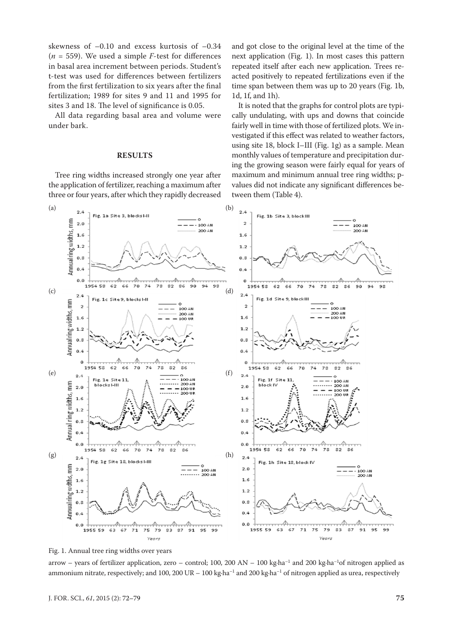skewness of –0.10 and excess kurtosis of –0.34  $(n = 559)$ . We used a simple *F*-test for differences in basal area increment between periods. Student's t-test was used for differences between fertilizers from the first fertilization to six years after the final fertilization; 1989 for sites 9 and 11 and 1995 for sites 3 and 18. The level of significance is 0.05.

All data regarding basal area and volume were under bark.

#### **RESULTS**

Tree ring widths increased strongly one year after the application of fertilizer, reaching a maximum after three or four years, after which they rapidly decreased and got close to the original level at the time of the next application (Fig. 1). In most cases this pattern repeated itself after each new application. Trees reacted positively to repeated fertilizations even if the time span between them was up to 20 years (Fig. 1b, 1d, 1f, and 1h).

It is noted that the graphs for control plots are typically undulating, with ups and downs that coincide fairly well in time with those of fertilized plots. We investigated if this effect was related to weather factors, using site 18, block I–III (Fig. 1g) as a sample. Mean monthly values of temperature and precipitation during the growing season were fairly equal for years of maximum and minimum annual tree ring widths; pvalues did not indicate any significant differences between them (Table 4).



Fig. 1. Annual tree ring widths over years

arrow – years of fertilizer application, zero – control; 100, 200 AN – 100 kg·ha<sup>-1</sup> and 200 kg·ha<sup>-1</sup>of nitrogen applied as ammonium nitrate, respectively; and 100, 200 UR – 100 kg·ha<sup>-1</sup> and 200 kg·ha<sup>-1</sup> of nitrogen applied as urea, respectively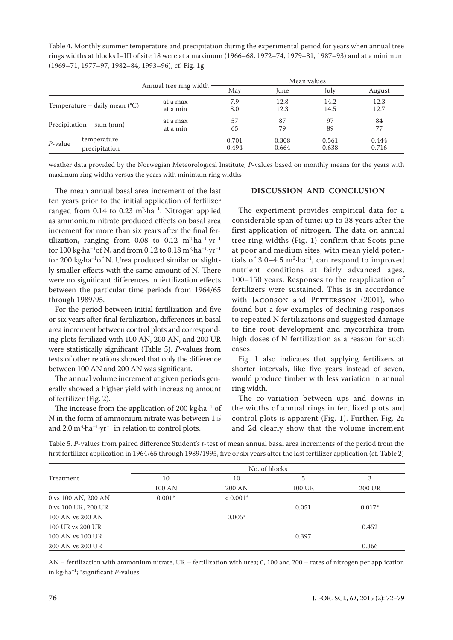Table 4. Monthly summer temperature and precipitation during the experimental period for years when annual tree rings widths at blocks I–III of site 18 were at a maximum (1966–68, 1972–74, 1979–81, 1987–93) and at a minimum (1969–71, 1977–97, 1982–84, 1993–96), cf. Fig. 1g

|                                          |               |                        | Mean values |       |       |        |  |  |
|------------------------------------------|---------------|------------------------|-------------|-------|-------|--------|--|--|
|                                          |               | Annual tree ring width | May         | June  | July  | August |  |  |
| Temperature – daily mean $({}^{\circ}C)$ |               | at a max               | 7.9         | 12.8  | 14.2  | 12.3   |  |  |
|                                          |               | at a min               | 8.0         | 12.3  | 14.5  | 12.7   |  |  |
| Precipitation $-$ sum (mm)               |               | at a max               | 57          | 87    | 97    | 84     |  |  |
|                                          |               | at a min               | 65          | 79    | 89    | 77     |  |  |
| $P$ -value                               | temperature   |                        | 0.701       | 0.308 | 0.561 | 0.444  |  |  |
|                                          | precipitation |                        | 0.494       | 0.664 | 0.638 | 0.716  |  |  |

weather data provided by the Norwegian Meteorological Institute, *P*-values based on monthly means for the years with maximum ring widths versus the years with minimum ring widths

The mean annual basal area increment of the last ten years prior to the initial application of fertilizer ranged from  $0.14$  to  $0.23 \text{ m}^2 \cdot \text{ha}^{-1}$ . Nitrogen applied as ammonium nitrate produced effects on basal area increment for more than six years after the final fertilization, ranging from  $0.08$  to  $0.12 \text{ m}^2\text{-}h\text{a}^{-1}\text{-}yr^{-1}$ for  $100 \text{ kg} \cdot \text{ha}^{-1}$ of N, and from 0.12 to 0.18 m $^2 \cdot \text{ha}^{-1} \cdot \text{yr}^{-1}$ for 200 kg·ha–1of N. Urea produced similar or slightly smaller effects with the same amount of N. There were no significant differences in fertilization effects between the particular time periods from 1964/65 through 1989/95.

For the period between initial fertilization and five or six years after final fertilization, differences in basal area increment between control plots and corresponding plots fertilized with 100 AN, 200 AN, and 200 UR were statistically significant (Table 5). *P*-values from tests of other relations showed that only the difference between 100 AN and 200 AN was significant.

The annual volume increment at given periods generally showed a higher yield with increasing amount of fertilizer (Fig. 2).

The increase from the application of 200 kg $\cdot$ ha<sup>-1</sup> of N in the form of ammonium nitrate was between 1.5 and  $2.0 \text{ m}^3 \cdot \text{ha}^{-1} \cdot \text{yr}^{-1}$  in relation to control plots.

### **DISCUSSION AND CONCLUSION**

The experiment provides empirical data for a considerable span of time; up to 38 years after the first application of nitrogen. The data on annual tree ring widths (Fig. 1) confirm that Scots pine at poor and medium sites, with mean yield potentials of 3.0–4.5  $m^3$ -ha<sup>-1</sup>, can respond to improved nutrient conditions at fairly advanced ages, 100–150 years. Responses to the reapplication of fertilizers were sustained. This is in accordance with JACOBSON and PETTERSSON (2001), who found but a few examples of declining responses to repeated N fertilizations and suggested damage to fine root development and mycorrhiza from high doses of N fertilization as a reason for such cases.

Fig. 1 also indicates that applying fertilizers at shorter intervals, like five years instead of seven, would produce timber with less variation in annual ring width.

The co-variation between ups and downs in the widths of annual rings in fertilized plots and control plots is apparent (Fig. 1). Further, Fig. 2a and 2d clearly show that the volume increment

| first fertilizer application in 1964/65 through 1989/1995, five or six years after the last fertilizer application (cf. Table 2) |        |               |        |        |
|----------------------------------------------------------------------------------------------------------------------------------|--------|---------------|--------|--------|
|                                                                                                                                  |        | No. of blocks |        |        |
| Treatment                                                                                                                        | 10     | 10            |        |        |
|                                                                                                                                  | 100 AN | 200 AN        | 100 UR | 200 UR |

Table 5. *P*-values from paired difference Student's *t*-test of mean annual basal area increments of the period from the

0 vs 100 AN, 200 AN  $0.001^*$  <  $0.001^*$  $0 \text{ vs } 100 \text{ UR}$ ,  $200 \text{ UR}$  0.017\*  $100 \text{ AN vs } 200 \text{ AN}$  0.005\* 100 UR vs 200 UR 0.452 100 AN vs 100 UR 0.397 200 AN vs 200 UR 0.366

AN – fertilization with ammonium nitrate, UR – fertilization with urea; 0, 100 and 200 – rates of nitrogen per application in kg·ha–1; \*significant *P*-values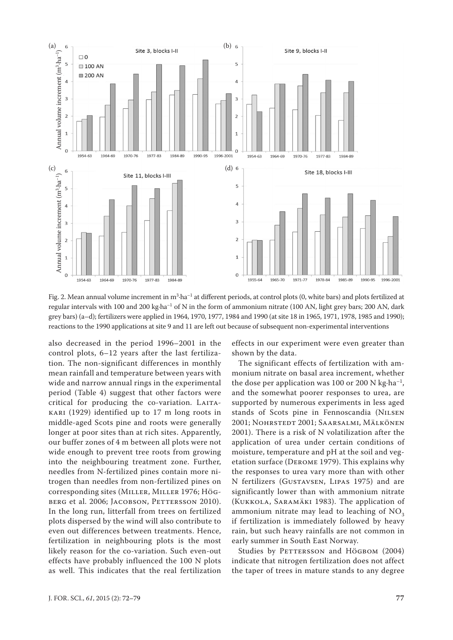

Fig. 2. Mean annual volume increment in m<sup>3</sup>·ha<sup>-1</sup> at different periods, at control plots (0, white bars) and plots fertilized at regular intervals with 100 and 200 kg·ha<sup>-1</sup> of N in the form of ammonium nitrate (100 AN, light grey bars; 200 AN, dark grey bars) (a–d); fertilizers were applied in 1964, 1970, 1977, 1984 and 1990 (at site 18 in 1965, 1971, 1978, 1985 and 1990); reactions to the 1990 applications at site 9 and 11 are left out because of subsequent non-experimental interventions

also decreased in the period 1996–2001 in the control plots, 6–12 years after the last fertilization. The non-significant differences in monthly mean rainfall and temperature between years with wide and narrow annual rings in the experimental period (Table 4) suggest that other factors were critical for producing the co-variation. LAITAkari (1929) identified up to 17 m long roots in middle-aged Scots pine and roots were generally longer at poor sites than at rich sites. Apparently, our buffer zones of 4 m between all plots were not wide enough to prevent tree roots from growing into the neighbouring treatment zone. Further, needles from N-fertilized pines contain more nitrogen than needles from non-fertilized pines on corresponding sites (Miller, Miller 1976; Högberg et al. 2006; Jacobson, Pettersson 2010). In the long run, litterfall from trees on fertilized plots dispersed by the wind will also contribute to even out differences between treatments. Hence, fertilization in neighbouring plots is the most likely reason for the co-variation. Such even-out effects have probably influenced the 100 N plots as well. This indicates that the real fertilization

effects in our experiment were even greater than shown by the data.

The significant effects of fertilization with ammonium nitrate on basal area increment, whether the dose per application was 100 or 200 N kg $\cdot$ ha<sup>-1</sup>, and the somewhat poorer responses to urea, are supported by numerous experiments in less aged stands of Scots pine in Fennoscandia (Nilsen 2001; Nohrstedt 2001; Saarsalmi, Mälkönen 2001). There is a risk of N volatilization after the application of urea under certain conditions of moisture, temperature and pH at the soil and vegetation surface (Derome 1979). This explains why the responses to urea vary more than with other N fertilizers (Gustavsen, Lipas 1975) and are significantly lower than with ammonium nitrate (Kukkola, Saramäki 1983). The application of ammonium nitrate may lead to leaching of NO<sub>2</sub> if fertilization is immediately followed by heavy rain, but such heavy rainfalls are not common in early summer in South East Norway.

Studies by PETTERSSON and HÖGBOM (2004) indicate that nitrogen fertilization does not affect the taper of trees in mature stands to any degree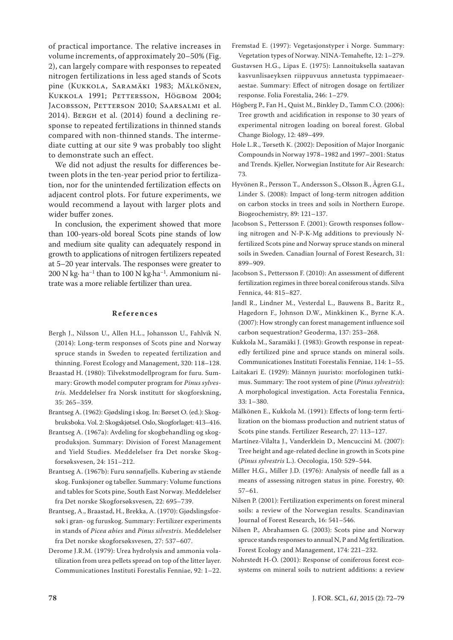of practical importance. The relative increases in volume increments, of approximately 20–50% (Fig. 2), can largely compare with responses to repeated nitrogen fertilizations in less aged stands of Scots pine (Kukkola, Saramäki 1983; Mälkönen, KUKKOLA 1991; PETTERSSON, HÖGBOM 2004; Jacobsson, Petterson 2010; Saarsalmi et al. 2014). Bergh et al. (2014) found a declining response to repeated fertilizations in thinned stands compared with non-thinned stands. The intermediate cutting at our site 9 was probably too slight to demonstrate such an effect.

We did not adjust the results for differences between plots in the ten-year period prior to fertilization, nor for the unintended fertilization effects on adjacent control plots. For future experiments, we would recommend a layout with larger plots and wider buffer zones.

In conclusion, the experiment showed that more than 100-years-old boreal Scots pine stands of low and medium site quality can adequately respond in growth to applications of nitrogen fertilizers repeated at 5–20 year intervals. The responses were greater to 200 N kg∙ ha–1 than to 100 N kg∙ha–1. Ammonium nitrate was a more reliable fertilizer than urea.

#### **References**

- Bergh J., Nilsson U., Allen H.L., Johansson U., Fahlvik N. (2014): Long-term responses of Scots pine and Norway spruce stands in Sweden to repeated fertilization and thinning. Forest Ecology and Management, 320: 118–128.
- Braastad H. (1980): Tilvekstmodellprogram for furu. Summary: Growth model computer program for *Pinus sylvestris*. Meddelelser fra Norsk institutt for skogforskning, 35: 265–359.
- Brantseg A. (1962): Gjødsling i skog. In: Børset O. (ed.): Skogbruksboka. Vol. 2: Skogskjøtsel. Oslo, Skogforlaget: 413–416.
- Brantseg A. (1967a): Avdeling for skogbehandling og skogproduksjon. Summary: Division of Forest Management and Yield Studies. Meddelelser fra Det norske Skogforsøksvesen, 24: 151–212.
- Brantseg A. (1967b): Furu sønnafjells. Kubering av stående skog. Funksjoner og tabeller. Summary: Volume functions and tables for Scots pine, South East Norway. Meddelelser fra Det norske Skogforsøksvesen, 22: 695–739.
- Brantseg, A., Braastad, H., Brekka, A. (1970): Gjødslingsforsøk i gran- og furuskog. Summary: Fertilizer experiments in stands of *Picea abies* and *Pinus silvestris*. Meddelelser fra Det norske skogforsøksvesen, 27: 537–607.
- Derome J.R.M. (1979): Urea hydrolysis and ammonia volatilization from urea pellets spread on top of the litter layer. Communicationes Instituti Forestalis Fenniae, 92: 1–22.
- Fremstad E. (1997): Vegetasjonstyper i Norge. Summary: Vegetation types of Norway. NINA-Temahefte, 12: 1–279.
- Gustavsen H.G., Lipas E. (1975): Lannoituksella saatavan kasvunlisaeyksen riippuvuus annetusta typpimaeaeraestae. Summary: Effect of nitrogen dosage on fertilizer response. Folia Forestalia, 246: 1–279.
- Högberg P., Fan H., Quist M., Binkley D., Tamm C.O. (2006): Tree growth and acidification in response to 30 years of experimental nitrogen loading on boreal forest. Global Change Biology, 12: 489–499.
- Hole L.R., Tørseth K. (2002): Deposition of Major Inorganic Compounds in Norway 1978–1982 and 1997–2001: Status and Trends. Kjeller, Norwegian Institute for Air Research: 73.
- Hyvönen R., Persson T., Andersson S., Olsson B., Ågren G.I., Linder S. (2008): Impact of long-term nitrogen addition on carbon stocks in trees and soils in Northern Europe. Biogeochemistry, 89: 121–137.
- Jacobson S., Pettersson F. (2001): Growth responses following nitrogen and N-P-K-Mg additions to previously Nfertilized Scots pine and Norway spruce stands on mineral soils in Sweden. Canadian Journal of Forest Research, 31: 899–909.
- Jacobson S., Pettersson F. (2010): An assessment of different fertilization regimes in three boreal coniferous stands. Silva Fennica, 44: 815–827.
- Jandl R., Lindner M., Vesterdal L., Bauwens B., Baritz R., Hagedorn F., Johnson D.W., Minkkinen K., Byrne K.A. (2007): How strongly can forest management influence soil carbon sequestration? Geoderma, 137: 253–268.
- Kukkola M., Saramäki J. (1983): Growth response in repeatedly fertilized pine and spruce stands on mineral soils. Communicationes Instituti Forestalis Fenniae, 114: 1–55.
- Laitakari E. (1929): Männyn juuristo: morfologinen tutkimus. Summary: The root system of pine (*Pinus sylvestris*): A morphological investigation. Acta Forestalia Fennica, 33: 1–380.
- Mälkönen E., Kukkola M. (1991): Effects of long-term fertilization on the biomass production and nutrient status of Scots pine stands. Fertilizer Research, 27: 113–127.
- Martínez-Vilalta J., Vanderklein D., Mencuccini M. (2007): Tree height and age-related decline in growth in Scots pine (*Pinus sylvestris* L.). Oecologia, 150: 529–544.
- Miller H.G., Miller J.D. (1976): Analysis of needle fall as a means of assessing nitrogen status in pine. Forestry, 40: 57–61.
- Nilsen P. (2001): Fertilization experiments on forest mineral soils: a review of the Norwegian results. Scandinavian Journal of Forest Research, 16: 541–546.
- Nilsen P., Abrahamsen G. (2003): Scots pine and Norway spruce stands responses to annual N, P and Mg fertilization. Forest Ecology and Management, 174: 221–232.
- Nohrstedt H-Ö. (2001): Response of coniferous forest ecosystems on mineral soils to nutrient additions: a review